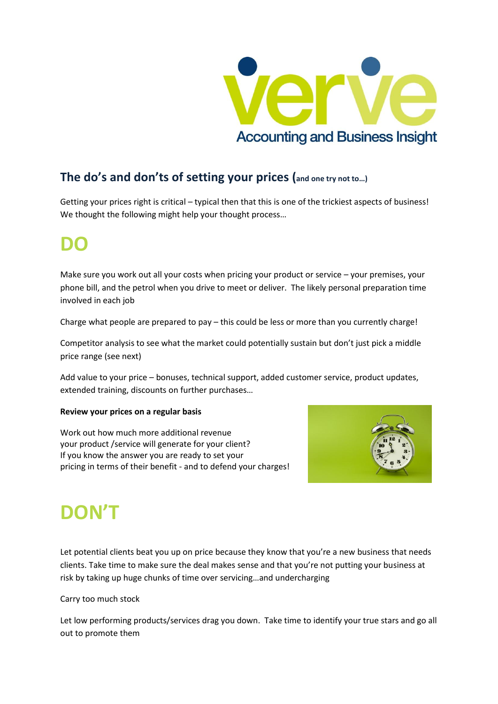

#### **The do's and don'ts of setting your prices (and one try not to…)**

Getting your prices right is critical – typical then that this is one of the trickiest aspects of business! We thought the following might help your thought process…

### **DO**

Make sure you work out all your costs when pricing your product or service – your premises, your phone bill, and the petrol when you drive to meet or deliver. The likely personal preparation time involved in each job

Charge what people are prepared to pay – this could be less or more than you currently charge!

Competitor analysis to see what the market could potentially sustain but don't just pick a middle price range (see next)

Add value to your price – bonuses, technical support, added customer service, product updates, extended training, discounts on further purchases…

#### **Review your prices on a regular basis**

Work out how much more additional revenue your product /service will generate for your client? If you know the answer you are ready to set your pricing in terms of their benefit - and to defend your charges!



# **DON'T**

Let potential clients beat you up on price because they know that you're a new business that needs clients. Take time to make sure the deal makes sense and that you're not putting your business at risk by taking up huge chunks of time over servicing…and undercharging

#### Carry too much stock

Let low performing products/services drag you down. Take time to identify your true stars and go all out to promote them